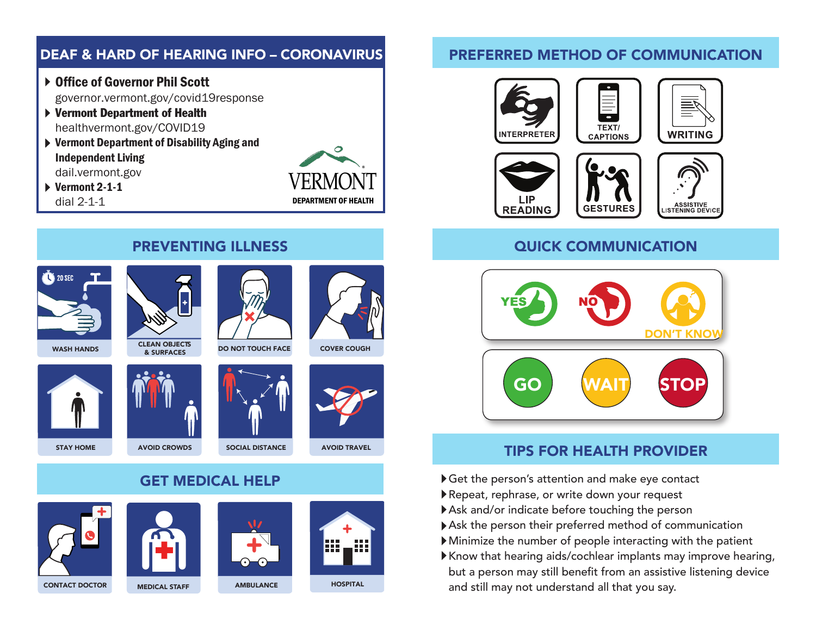# DEAF & HARD OF HEARING INFO – CORONAVIRUS

- ▶ Office of Governor Phil Scott governor.vermont.gov/covid19response
- Vermont Department of Health healthvermont.gov/COVID19
- Vermont Department of Disability Aging and Independent Living dail.vermont.gov

 $\triangleright$  Vermont 2-1-1 dial 2-1-1



#### PREFERRED METHOD OF COMMUNICATION



**READING** 



## QUICK COMMUNICATION



## TIPS FOR HEALTH PROVIDER

- Get the person's attention and make eye contact
- Repeat, rephrase, or write down your request
- Ask and/or indicate before touching the person
- Ask the person their preferred method of communication
- Minimize the number of people interacting with the patient
- Know that hearing aids/cochlear implants may improve hearing, but a person may still benefit from an assistive listening device and still may not understand all that you say.